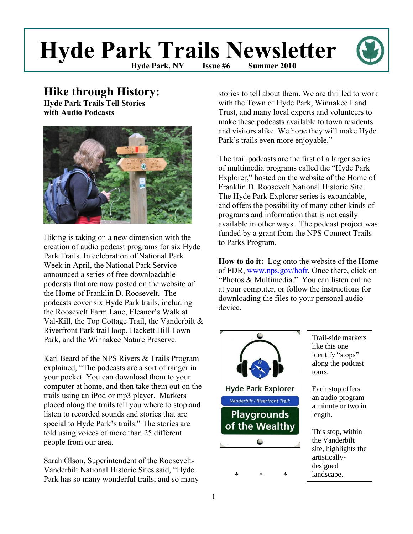# **Hyde Park Trails Newsletter**



**Hyde Park, NY Issue #6 Summer 2010**

# **Hike through History:**

**Hyde Park Trails Tell Stories with Audio Podcasts** 



Hiking is taking on a new dimension with the creation of audio podcast programs for six Hyde Park Trails. In celebration of National Park Week in April, the National Park Service announced a series of free downloadable podcasts that are now posted on the website of the Home of Franklin D. Roosevelt. The podcasts cover six Hyde Park trails, including the Roosevelt Farm Lane, Eleanor's Walk at Val-Kill, the Top Cottage Trail, the Vanderbilt & Riverfront Park trail loop, Hackett Hill Town Park, and the Winnakee Nature Preserve.

Karl Beard of the NPS Rivers & Trails Program explained, "The podcasts are a sort of ranger in your pocket. You can download them to your computer at home, and then take them out on the trails using an iPod or mp3 player. Markers placed along the trails tell you where to stop and listen to recorded sounds and stories that are special to Hyde Park's trails." The stories are told using voices of more than 25 different people from our area.

Sarah Olson, Superintendent of the Roosevelt-Vanderbilt National Historic Sites said, "Hyde Park has so many wonderful trails, and so many stories to tell about them. We are thrilled to work with the Town of Hyde Park, Winnakee Land Trust, and many local experts and volunteers to make these podcasts available to town residents and visitors alike. We hope they will make Hyde Park's trails even more enjoyable."

The trail podcasts are the first of a larger series of multimedia programs called the "Hyde Park Explorer," hosted on the website of the Home of Franklin D. Roosevelt National Historic Site. The Hyde Park Explorer series is expandable, and offers the possibility of many other kinds of programs and information that is not easily available in other ways. The podcast project was funded by a grant from the NPS Connect Trails to Parks Program.

**How to do it:** Log onto the website of the Home of FDR, [www.nps.gov/hofr.](http://www.nps.gov/hofr) Once there, click on "Photos & Multimedia." You can listen online at your computer, or follow the instructions for downloading the files to your personal audio device.

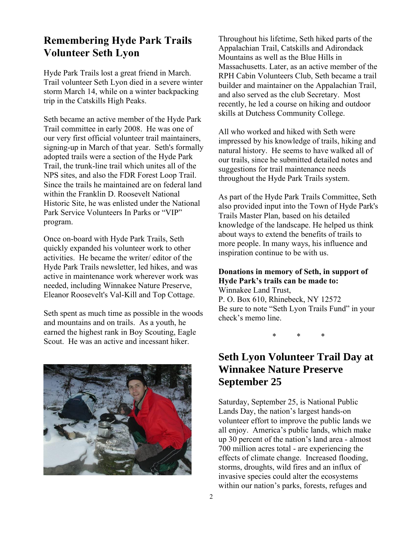## **Remembering Hyde Park Trails Volunteer Seth Lyon**

Hyde Park Trails lost a great friend in March. Trail volunteer Seth Lyon died in a severe winter storm March 14, while on a winter backpacking trip in the Catskills High Peaks.

Seth became an active member of the Hyde Park Trail committee in early 2008. He was one of our very first official volunteer trail maintainers, signing-up in March of that year. Seth's formally adopted trails were a section of the Hyde Park Trail, the trunk-line trail which unites all of the NPS sites, and also the FDR Forest Loop Trail. Since the trails he maintained are on federal land within the Franklin D. Roosevelt National Historic Site, he was enlisted under the National Park Service Volunteers In Parks or "VIP" program.

Once on-board with Hyde Park Trails, Seth quickly expanded his volunteer work to other activities. He became the writer/ editor of the Hyde Park Trails newsletter, led hikes, and was active in maintenance work wherever work was needed, including Winnakee Nature Preserve, Eleanor Roosevelt's Val-Kill and Top Cottage.

Seth spent as much time as possible in the woods and mountains and on trails. As a youth, he earned the highest rank in Boy Scouting, Eagle Scout. He was an active and incessant hiker.



Throughout his lifetime, Seth hiked parts of the Appalachian Trail, Catskills and Adirondack Mountains as well as the Blue Hills in Massachusetts. Later, as an active member of the RPH Cabin Volunteers Club, Seth became a trail builder and maintainer on the Appalachian Trail, and also served as the club Secretary. Most recently, he led a course on hiking and outdoor skills at Dutchess Community College.

All who worked and hiked with Seth were impressed by his knowledge of trails, hiking and natural history. He seems to have walked all of our trails, since he submitted detailed notes and suggestions for trail maintenance needs throughout the Hyde Park Trails system.

As part of the Hyde Park Trails Committee, Seth also provided input into the Town of Hyde Park's Trails Master Plan, based on his detailed knowledge of the landscape. He helped us think about ways to extend the benefits of trails to more people. In many ways, his influence and inspiration continue to be with us.

#### **Donations in memory of Seth, in support of Hyde Park's trails can be made to:**

Winnakee Land Trust, P. O. Box 610, Rhinebeck, NY 12572 Be sure to note "Seth Lyon Trails Fund" in your check's memo line.

\* \* \*

#### **Seth Lyon Volunteer Trail Day at Winnakee Nature Preserve September 25**

Saturday, September 25, is National Public Lands Day, the nation's largest hands-on volunteer effort to improve the public lands we all enjoy. America's public lands, which make up 30 percent of the nation's land area - almost 700 million acres total - are experiencing the effects of climate change. Increased flooding, storms, droughts, wild fires and an influx of invasive species could alter the ecosystems within our nation's parks, forests, refuges and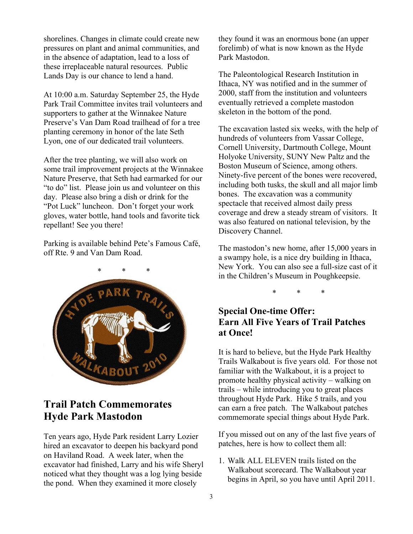shorelines. Changes in climate could create new pressures on plant and animal communities, and in the absence of adaptation, lead to a loss of these irreplaceable natural resources. Public Lands Day is our chance to lend a hand.

At 10:00 a.m. Saturday September 25, the Hyde Park Trail Committee invites trail volunteers and supporters to gather at the Winnakee Nature Preserve's Van Dam Road trailhead of for a tree planting ceremony in honor of the late Seth Lyon, one of our dedicated trail volunteers.

After the tree planting, we will also work on some trail improvement projects at the Winnakee Nature Preserve, that Seth had earmarked for our "to do" list. Please join us and volunteer on this day. Please also bring a dish or drink for the "Pot Luck" luncheon. Don't forget your work gloves, water bottle, hand tools and favorite tick repellant! See you there!

Parking is available behind Pete's Famous Café, off Rte. 9 and Van Dam Road.



## **Trail Patch Commemorates Hyde Park Mastodon**

Ten years ago, Hyde Park resident Larry Lozier hired an excavator to deepen his backyard pond on Haviland Road. A week later, when the excavator had finished, Larry and his wife Sheryl noticed what they thought was a log lying beside the pond. When they examined it more closely

they found it was an enormous bone (an upper forelimb) of what is now known as the Hyde Park Mastodon.

The Paleontological Research Institution in Ithaca, NY was notified and in the summer of 2000, staff from the institution and volunteers eventually retrieved a complete mastodon skeleton in the bottom of the pond.

The excavation lasted six weeks, with the help of hundreds of volunteers from Vassar College, Cornell University, Dartmouth College, Mount Holyoke University, SUNY New Paltz and the Boston Museum of Science, among others. Ninety-five percent of the bones were recovered, including both tusks, the skull and all major limb bones. The excavation was a community spectacle that received almost daily press coverage and drew a steady stream of visitors. It was also featured on national television, by the Discovery Channel.

The mastodon's new home, after 15,000 years in a swampy hole, is a nice dry building in Ithaca, New York. You can also see a full-size cast of it in the Children's Museum in Poughkeepsie.

\* \* \*

#### **Special One-time Offer: Earn All Five Years of Trail Patches at Once!**

It is hard to believe, but the Hyde Park Healthy Trails Walkabout is five years old. For those not familiar with the Walkabout, it is a project to promote healthy physical activity – walking on trails – while introducing you to great places throughout Hyde Park. Hike 5 trails, and you can earn a free patch. The Walkabout patches commemorate special things about Hyde Park.

If you missed out on any of the last five years of patches, here is how to collect them all:

1. Walk ALL ELEVEN trails listed on the Walkabout scorecard. The Walkabout year begins in April, so you have until April 2011.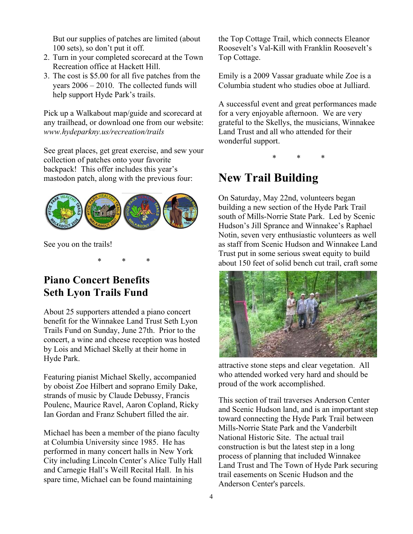But our supplies of patches are limited (about 100 sets), so don't put it off.

- 2. Turn in your completed scorecard at the Town Recreation office at Hackett Hill.
- 3. The cost is \$5.00 for all five patches from the years 2006 – 2010. The collected funds will help support Hyde Park's trails.

Pick up a Walkabout map/guide and scorecard at any trailhead, or download one from our website: *www.hydeparkny.us/recreation/trails*

See great places, get great exercise, and sew your collection of patches onto your favorite backpack! This offer includes this year's mastodon patch, along with the previous four:



See you on the trails!

#### \* \* \*

#### **Piano Concert Benefits Seth Lyon Trails Fund**

About 25 supporters attended a piano concert benefit for the Winnakee Land Trust Seth Lyon Trails Fund on Sunday, June 27th. Prior to the concert, a wine and cheese reception was hosted by Lois and Michael Skelly at their home in Hyde Park.

Featuring pianist Michael Skelly, accompanied by oboist Zoe Hilbert and soprano Emily Dake, strands of music by Claude Debussy, Francis Poulenc, Maurice Ravel, Aaron Copland, Ricky Ian Gordan and Franz Schubert filled the air.

Michael has been a member of the piano faculty at Columbia University since 1985. He has performed in many concert halls in New York City including Lincoln Center's Alice Tully Hall and Carnegie Hall's Weill Recital Hall. In his spare time, Michael can be found maintaining

the Top Cottage Trail, which connects Eleanor Roosevelt's Val-Kill with Franklin Roosevelt's Top Cottage.

Emily is a 2009 Vassar graduate while Zoe is a Columbia student who studies oboe at Julliard.

A successful event and great performances made for a very enjoyable afternoon. We are very grateful to the Skellys, the musicians, Winnakee Land Trust and all who attended for their wonderful support.

\* \* \*

# **New Trail Building**

On Saturday, May 22nd, volunteers began building a new section of the Hyde Park Trail south of Mills-Norrie State Park. Led by Scenic Hudson's Jill Sprance and Winnakee's Raphael Notin, seven very enthusiastic volunteers as well as staff from Scenic Hudson and Winnakee Land Trust put in some serious sweat equity to build about 150 feet of solid bench cut trail, craft some



attractive stone steps and clear vegetation. All who attended worked very hard and should be proud of the work accomplished.

This section of trail traverses Anderson Center and Scenic Hudson land, and is an important step toward connecting the Hyde Park Trail between Mills-Norrie State Park and the Vanderbilt National Historic Site. The actual trail construction is but the latest step in a long process of planning that included Winnakee Land Trust and The Town of Hyde Park securing trail easements on Scenic Hudson and the Anderson Center's parcels.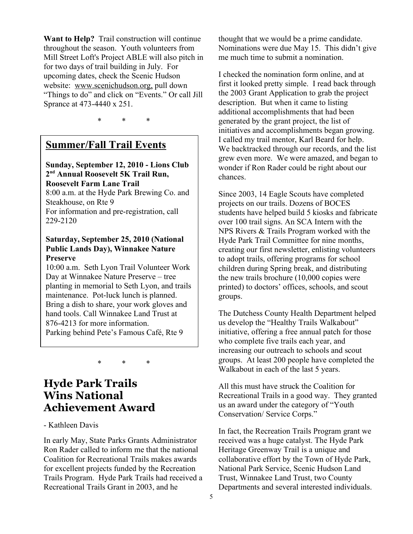**Want to Help?** Trail construction will continue throughout the season. Youth volunteers from Mill Street Loft's Project ABLE will also pitch in for two days of trail building in July. For upcoming dates, check the Scenic Hudson website: www.scenichudson.org, pull down "Things to do" and click on "Events." Or call Jill Sprance at 473-4440 x 251.

\* \* \*

#### **Summer/Fall Trail Events**

**Sunday, September 12, 2010 - Lions Club 2 nd Annual Roosevelt 5K Trail Run, Roosevelt Farm Lane Trail** 

8:00 a.m. at the Hyde Park Brewing Co. and Steakhouse, on Rte 9 For information and pre-registration, call 229-2120

#### **Saturday, September 25, 2010 (National Public Lands Day), Winnakee Nature Preserve**

10:00 a.m. Seth Lyon Trail Volunteer Work Day at Winnakee Nature Preserve – tree planting in memorial to Seth Lyon, and trails maintenance. Pot-luck lunch is planned. Bring a dish to share, your work gloves and hand tools. Call Winnakee Land Trust at 876-4213 for more information. Parking behind Pete's Famous Café, Rte 9

\* \* \*

# **Hyde Park Trails Wins National Achievement Award**

#### - Kathleen Davis

In early May, State Parks Grants Administrator Ron Rader called to inform me that the national Coalition for Recreational Trails makes awards for excellent projects funded by the Recreation Trails Program. Hyde Park Trails had received a Recreational Trails Grant in 2003, and he

thought that we would be a prime candidate. Nominations were due May 15. This didn't give me much time to submit a nomination.

I checked the nomination form online, and at first it looked pretty simple. I read back through the 2003 Grant Application to grab the project description. But when it came to listing additional accomplishments that had been generated by the grant project, the list of initiatives and accomplishments began growing. I called my trail mentor, Karl Beard for help. We backtracked through our records, and the list grew even more. We were amazed, and began to wonder if Ron Rader could be right about our chances.

Since 2003, 14 Eagle Scouts have completed projects on our trails. Dozens of BOCES students have helped build 5 kiosks and fabricate over 100 trail signs. An SCA Intern with the NPS Rivers & Trails Program worked with the Hyde Park Trail Committee for nine months, creating our first newsletter, enlisting volunteers to adopt trails, offering programs for school children during Spring break, and distributing the new trails brochure (10,000 copies were printed) to doctors' offices, schools, and scout groups.

The Dutchess County Health Department helped us develop the "Healthy Trails Walkabout" initiative, offering a free annual patch for those who complete five trails each year, and increasing our outreach to schools and scout groups. At least 200 people have completed the Walkabout in each of the last 5 years.

All this must have struck the Coalition for Recreational Trails in a good way. They granted us an award under the category of "Youth Conservation/ Service Corps."

In fact, the Recreation Trails Program grant we received was a huge catalyst. The Hyde Park Heritage Greenway Trail is a unique and collaborative effort by the Town of Hyde Park, National Park Service, Scenic Hudson Land Trust, Winnakee Land Trust, two County Departments and several interested individuals.